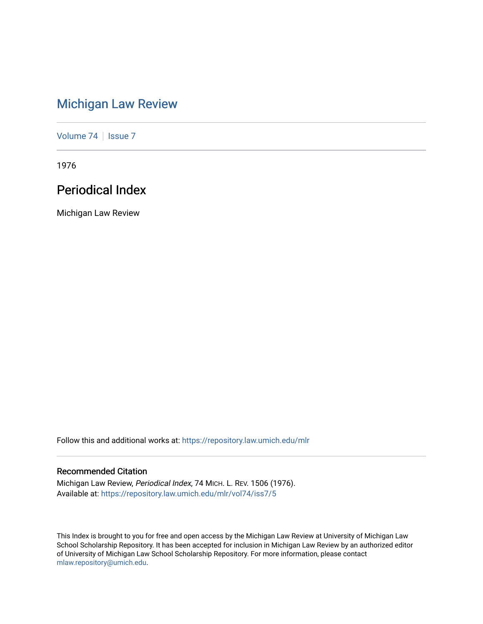# [Michigan Law Review](https://repository.law.umich.edu/mlr)

[Volume 74](https://repository.law.umich.edu/mlr/vol74) | [Issue 7](https://repository.law.umich.edu/mlr/vol74/iss7)

1976

# Periodical Index

Michigan Law Review

Follow this and additional works at: [https://repository.law.umich.edu/mlr](https://repository.law.umich.edu/mlr?utm_source=repository.law.umich.edu%2Fmlr%2Fvol74%2Fiss7%2F5&utm_medium=PDF&utm_campaign=PDFCoverPages) 

## Recommended Citation

Michigan Law Review, Periodical Index, 74 MICH. L. REV. 1506 (1976). Available at: [https://repository.law.umich.edu/mlr/vol74/iss7/5](https://repository.law.umich.edu/mlr/vol74/iss7/5?utm_source=repository.law.umich.edu%2Fmlr%2Fvol74%2Fiss7%2F5&utm_medium=PDF&utm_campaign=PDFCoverPages)

This Index is brought to you for free and open access by the Michigan Law Review at University of Michigan Law School Scholarship Repository. It has been accepted for inclusion in Michigan Law Review by an authorized editor of University of Michigan Law School Scholarship Repository. For more information, please contact [mlaw.repository@umich.edu.](mailto:mlaw.repository@umich.edu)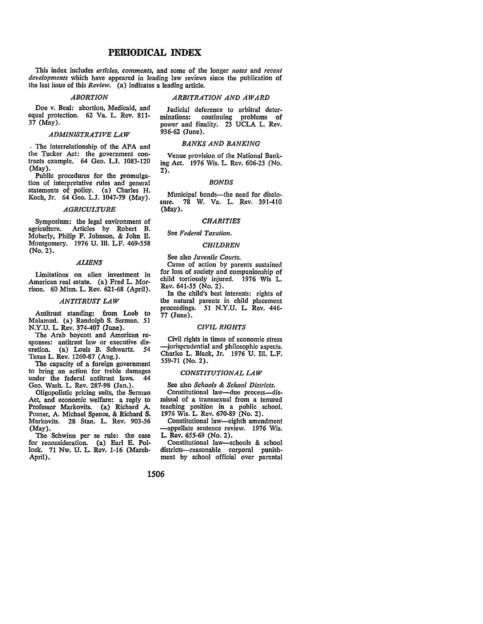## **PERIODICAL INDEX**

This index includes *articles, comments,* and some of the longer *110/es* and *recent developments* which have appeared in leading law reviews since the publication of the last issue of this *Review.* (a) indicates a leading article.

#### *ABORTION*

## *ARBITRATION AND AWARD*

Doe v. Beal: abortion, Medicaid, and equal protection. 62 Va. L. Rev. 811- 37 (May).

## *ADMINISTRATIVE LAW*

. The interrelationship of the APA and the Tucker Act: the government contracts example. 64 Geo. L.J. 1083-120 (May).

Public procedures for the promulgation of interpretative rules and general statements of policy. (a) Charles H. Koch, Jr. 64 Geo. L.J. 1047-79 (May).

#### *AGRICULTURE*

Symposium: the legal environment of<br>agriculture. Articles by Robert B. Articles by Robert B. Moberly, Philip F. Johnson, & John E. Montgomery. 1976 U. Ill. L.F. *469-558*  (No. 2).

## *ALIENS*

Limitations on alien investment in American real estate. (a) Fred L. Morrison. 60 Minn. L. Rev. 621-68 (April).

## *ANTITRUST LAW*

Antitrust standing: from Loeb to Malamud. {a) Randolph S. Serman. 51 N.Y.U. L. Rev. 374-407 (June).<br>The Arab boycott and American re-

sponses: antitrust law or executive dis-<br>cretion. (a) Louis B. Schwartz. 54 cretion. (a) Louis B. Schwartz. Texas L. Rev. 1260-87 (Aug.).

The capacity of a foreign government to bring an action for treble damages under the federal antitrust laws. 44 Geo. Wash. L. Rev. 287-98 (Jan.).

Oligopolistic pricing suits, the Serman Act, and economic welfare: a reply to Professor Markovits. (a) Richard A. Posner, A. Michael Spence, & Richard S. Markovits. 28 Stan. L. Rev. 903-56 (May).<br>The Schwinn per se rule: the case

for reconsideration. (a) Earl E. Pollock. 71 Nw. U. L. Rev. 1-16 (March-April).

Judicial deference to arbitral deter-<br>minations: continuing problems of continuing problems of power and finality. 23 UCLA L. Rev. 936-62 (June).

## **BANKS AND BANKING**

Venue provision of the National Banking Act. 1976 Wis. L. Rev. 606-23 (No. 2).

## *BONDS*

Municipal bonds-the need for disclosure. 78 W. Va. L. Rev. 391-410 (May).

## *CHARITIES*

## See *Federal Taxation.*

#### *CHILDREN*

See also *Juvenile Courts.* 

Cause of action by parents sustained for loss of society and companionship of child tortiously injured. 1976 Wis L. Rev. 641-55 (No. 2).

In the child's best interests: rights of the natural parents in child placement proceedings. 51 N.Y.U. L. Rev. 446- 77 (June}.

## *CIVIL RIGHTS*

Civil rights in times of economic stress -jurisprudential and philosophic aspects. Charles L. Black, Jr. 1976 U. 111. L.F. *559-71* (No. 2).

## *CONSTITUTIONAL LAW*

See also *Schools* & *School Districts.*  Constitutional law--due process--dismissal of a transsexual from a tenured teaching position in a public school. 1976 Wis. L. Rev. 670-89 (No. 2).

Constitutional law--eighth amendment -appellate sentence review. 1976 Wis. L. Rev. *655-69* (No. 2).

Constitutional law-schools & school districts-reasonable corporal punishment by school official over parental

## 1506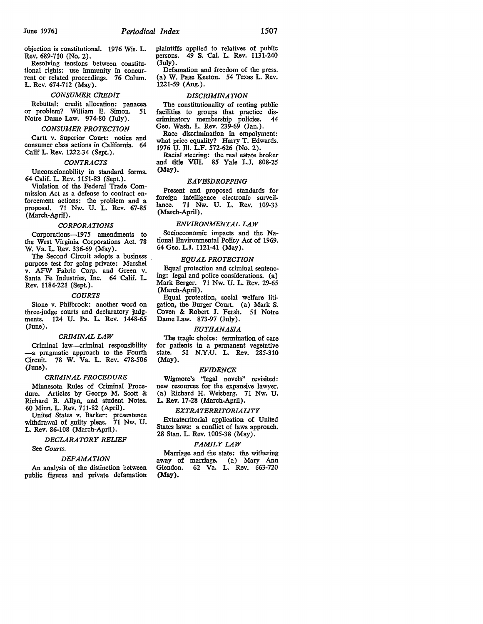objection is constitutional. 1976 Wis. L. Rev. 689-710 (No. 2).

Resolving tensions between constitutional rights: use immunity in concurrent or related proceedings. 76 Colum. L. Rev. 674-712 (May).

#### *CONSUMER CREDIT*

Rebuttal: credit allocation: panacea or problem? William E. Simon. 51 Notre Dame Law. 974-80 (July).

## *CONSUMER PROTECTION*

Cartt v. Superior Court: notice and consumer class actions in California. 64 Calif L. Rev. 1222-34 (Sept.).

#### *CONTRACTS*

Unconscionability in standard forms. 64 Calif. L. Rev. 1151-83 (Sept.).

Violation of the Federal Trade Commission Act as a defense to contract enforcement actions: the problem and a proposal. 71 Nw. U. L. Rev. 67-85 (March-April).

## *CORPORATIONS*

Corporations-1975 amendments to the West Virginia Corporations Act. 78 W. Va. L. Rev. 336-69 (May).

The Second Circuit adopts a business purpose test for going private: Marshel v. AFW Fabric Corp. and Green v. Santa Fe Industries, Inc. 64 Calif. L. Rev. 1184-221 (Sept.).

#### *COURTS*

Stone v. Philbrook: another word on three-judge courts and declaratory judgments. 124 U. Pa. L. Rev. 1448-65 (June).

#### *CRIMINAL LAW*

Criminal law-criminal responsibility -a pragmatic approach to the Fourth Circuit. 78 W. Va. L. Rev. 478-506 (June).

## *CRIMINAL PROCEDURE*

Minnesota Rules of Criminal Procedure. Articles by George M. Scott & Richard B. Allyn, and student Notes. 60 Minn. L. Rev. 711-82 (April).

United States v. Barker: presentence withdrawal of guilty pleas. 71 Nw. U. L. Rev. 86-108 (March-April).

#### *DECLARATORY RELIEF*

See *Courts.* 

## *DEFAMATION*

An analysis of the distinction between public figures and private defamation plaintiffs applied to relatives of public persons. 49 S. Cal. L. Rev. 1131-240 (July).

Defamation and freedom of the press. (a) W. Page Keeton. 54 Texas L. Rev. 1221-59 (Aug.).

## *DISCRIMINATION*

The constitutionality of renting public facilities to groups that practice dis-<br>criminatory membership policies. 44 criminatory membership policies. 44 Geo. Wash. L. Rev. 239-69 (Jan.).

Race discrimination in empolyment: what price equality? Harry T. Edwards. 1976 U. Ill. L.F. 572-626 (No. 2).

Racial steering: the real estate broker and title VIII. 85 Yale L.J. 808-25 (May).

## *EAVESDROPPING*

Present and proposed standards for foreign intelligence electronic surveillance. 71 Nw. U. L. Rev. 109-33 (March-April).

#### *ENVIRONMENTAL LAW*

Socioeconomic impacts and the National Environmental Policy Act of 1969. 64 Geo. L.J. 1121-41 (May).

## *EQUAL PROTECTION*

Equal protection and criminal sentencing: legal and police considerations. (a) Mark Berger. 71 Nw. U. L. Rev. 29-65 (March-April).

Equal protection, social welfare litigation, the Burger Court. (a) Mark S. Coven & Robert J. Fersh. 51 Notre Dame Law. 873-97 (July).

#### *EUTHANASIA*

The tragic choice: termination of care for patients in a permanent vegetative state. 51 N.Y.U. L. Rev. 285-310 (May).

#### *EVIDENCE*

Wigmore's "legal novels" revisited: new resources for the expansive lawyer. (a) Richard H. Weisberg. 71 Nw. U. L. Rev. 17-28 (March-April).

#### *EXTRATERRITORIALITY*

Extraterritorial application of United States laws: a conflict of laws approach. 28 Stan. L. Rev. 1005-38 (May).

#### *FAMILY LAW*

Marriage and the state: the withering away of marriage. (a) Mary Ann<br>Glendon. 62 Va. L. Rev. 663-720 62 Va. L. Rev. 663-720 (May).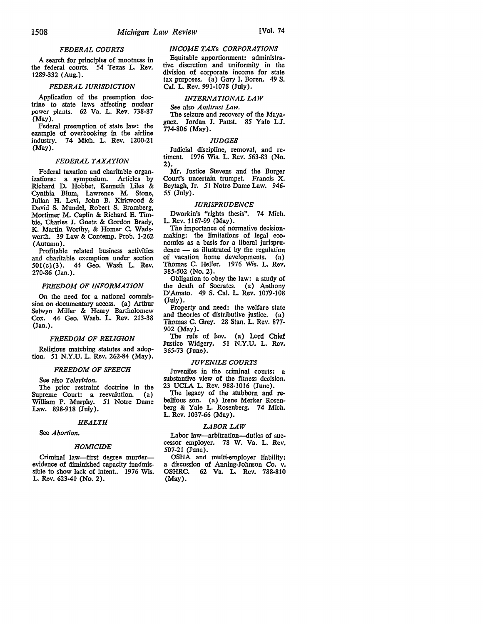## *FEDERAL COURTS*

A search for principles of mootness in the federal courts. 54 Texas L. Rev. 1289-332 (Aug.).

## **FEDERAL JURISDICTION**

Application of the preemption doctrine to state laws affecting nuclear power plants. 62 Va. L. Rev. 738-87 (May).

Federal preemption of state law: the example of overbooking in the airline industry. 74 Mich. L. Rev. 1200-21 (May).

## *FEDERAL TAXATION*

Federal taxation and charitable organizations: a symposium. Articles by Richard D. Hobbet, Kenneth Liles & Cynthia Blum, Lawrence M. Stone, Julian H. Levi, John B. Kirkwood & David S. Mundel, Robert S. Bromberg, Mortimer M. Caplin & Richard E. Timbie, Charles **J.** Goetz & Gordon Brady, K. Martin Worthy, & Homer C. Wadsworth. 39 Law & Contemp. Prob. 1-262 (Autumn).

Profitable related business activities and charitable exemption under section 501(c)(3). 44 Geo. Wash L. Rev. 270-86 (Jan.).

## *FREEDOM OF lNFORMATION*

On the need for a national commission on documentary access. (a) Arthur Selwyn Miller & Henry Bartholomew Cox. 44 Geo. Wash. L. Rev. 213-38 (Jan.).

#### *FREEDOM OF RELTGION*

Religious matching statutes and adoption. 51 N.Y.U. L. Rev. 262-84 (May).

#### *FREEDOM OF SPEECH*

See also *Television.* 

The prior restraint doctrine in the Supreme Court: a reevalution. (a) William P. Murphy. 51 Notre Dame Law.  $898-918$  (July).

#### *HEALTH*

## See *Abortion.*

## *HOMICIDE*

Criminal law-first degree murderevidence of diminished capacity inadmissible to show lack of intent.. 1976 Wis. L. Rev. 623-41 (No. 2).

## *INCOME TAXs CORPORATIONS*

Equitable apportionment: administrative discretion and uniformity in the division of corporate income for state tax purposes. (a) Gary 1. Boren. 49 S. Cal. L. Rev. 991-1078 (July).

#### *lNTERNATIONAL LAW*

See also *Antitrust Law.* 

The seizure and recovery of the Mayaguez. Jordan J. Paust. 85 Yale L.J. 774-806 (May),

#### *JUDGES*

Judicial discipline, removal, and retiment. 1976 Wis. L. Rev. 563-83 (No. 2).

Mr. Justice Stevens and the Burger Court's uncertain trumpet. Francis X. Beytagh, Jr. 51 Notre Dame Law. 946- 55 (July).

## *JURISPRUDENCE*

Dworkin's "rights thesis". 74 Mich. L. Rev. 1167-99 (May).

The importance of normative decision-<br>making: the limitations of legal economics as a basis for a liberal jurispru $d$ ence  $-$  as illustrated by the regulation of vacation home developments. (a) Thomas C. Heller. 1976 Wis. L. Rev. 385-502 (No. 2).

Obligation to obey the law: a study of **the** death of Socrates. (a) Anthony D'Amato. 49 S. Cal. L. Rev. 1079-108 (July).

Property and need: the welfare state and theories of distributive justice. (a) Thomas C. Grey. 28 Stan. L. Rev. 877- 902 (May).

The rule of law. (a) Lord Chief Justice Widgery. 51 N.Y.U. L. Rev. 365-73 (June).

#### *JUVENILE COURTS*

Juveniles in the criminal courts: a substantive view of the fitness decision. 23 UCLA L. Rev. 988-1016 (June).

The legacy of the stubborn and re-<br>bellious son. (a) Irene Merker Rosenberg & Yale L. Rosenberg. 74 Mich. L. Rev. 1037-66 (May).

#### *LABOR LAW*

Labor law-arbitration-duties of suc-<br>cessor employer. 78 W. Va. L. Rev. 507-21 (June).

OSHA and multi-employer liability: a discussion of Anning-Johnson Co. v. OSHRC. 62 Va. L. Rev. 7S8-810 (May).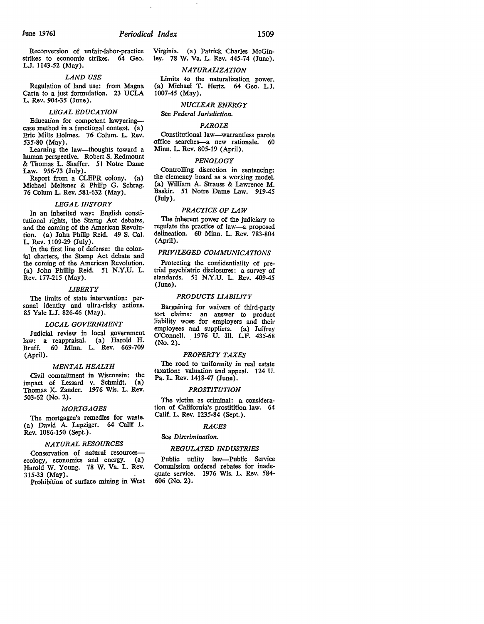## June 1976] *Periodical Index* 1509

Reconversion of unfair-labor-practice strikes to economic strikes. 64 Geo. L.J. 1143-52 (May).

#### *LAND USE*

Regulation of land use: from Magna Carta to a just formulation. 23 UCLA L. Rev. 904-35 (June).

#### *LEGAL EDUCATION*

Education for competent lawyeringcase method in a functional context.  $(a)$ Eric Mills Holmes. 76 Colum. L. Rev. 535-80 (May).

Learning the law-thoughts toward a human perspective. Robert S. Redmount & Thomas L. Shaffer. 51 Notre Dame 'Law. 956-73 (July).

Report from a CLEPR colony. (a) Michael Meltsner & Philip G. Schrag. 76 Colum L. Rev. 581-632 (May).

#### *LEGAL HISTORY*

In an inherited way: English constitutional rights, the Stamp Act debates, and the coming of the American Revolution. (a) John Philip Reid. 49 S. Cal. L. Rev. 1109-29 (July).

In the first line of defense: the colonial charters, the Stamp Act debate and the coming of the American Revolution. (a) John Phillip Reid. 51 N.Y.U. L. Rev. 177-215 (May).

#### *LIBERTY*

The limits of state intervention: personal identity and ultra-risky actions. 85 Yale LJ. 826-46 (May).

#### *LOCAL GOVERNMENT*

Judicial review in local government law: a reappraisal. (a) Harold H. Bruff. 60 Minn. L. Rev. 669-709 (April).

#### *MENTAL HEALTH*

Civil commitment in Wisconsin: the impact of Lessard v. Schmidt. (a) Thomas K. Zander. 1976 Wis. L. Rev. 503-62 (No. 2).

## *MORTGAGES*

The mortgagee's remedies for waste. (a) David A. Lepziger. 64 Calif L. Rev. 1086-150 (Sept.).

#### *NATURAL RESOURCES*

Conservation of natural resourcesecology, economics and energy. (a) Harold W. Young. 78 W. Va. L. Rev. 315-33 (May).

Prohibition of surface mining in West

Virginia. (a) Patrick Charles McGinley. 78 W. Va. L. Rev. 445-74 (June).

## *NATURALIZATION*

Limits *to* the naturalization power. (a) Michael T. Hertz. 64 Geo. L.J. 1007-45 (May).

## *NUCLEAR ENERGY*

See *Federal Jurisdiction.* 

#### *PAROLE*

Constitutional Iaw-warrantless parole office searches-a new rationale. 60 Minn. L. Rev. 805-19 (April).

#### *PENOLOGY*

Controlling discretion in sentencing: the clemency board as a working model. (a) William A. Strauss & Lawrence M. Baskir. 51 Notre Dame Law. 919-45 (July).

## *PRACTICE OF LAW*

The inherent power of the judiciary to regulate the practice of law-a proposed delineation. 60 Minn. L. Rev. 783-804 (April).

## *PRIVILEGED COMMUNICATIONS*

Protecting the confidentiality of pretrial psychiatric disclosures: a survey of standards. 51 **N.Y.U.** L. Rev. 409-45 (June).

## *PRODUCTS LIABILITY*

Bargaining for waivers of third-party tort claims: an answer to product liability woes for employers and their employees and suppliers. (a) Jeffrey O'Connell. 1976 U. Ill. L.F. 435-68 (No. 2).

#### *PROPERTY TAXES*

The road to uniformity in real estate taxation: valuation and appeal. 124 U. Pa. L. Rev. 1418-47 (June).

## *PROSTITUTION*

The victim as criminal: a consideration of California's prostitition law. 64 Calif. L. Rev. 1235-84 (Sept.).

## *RACES*

#### See *Discrimination.*

## **REGULATED INDUSTRIES**

Public utility law-Public Service Commission ordered rebates for inadequate service. 1976 Wis. L. Rev. 584- 606 (No. 2).